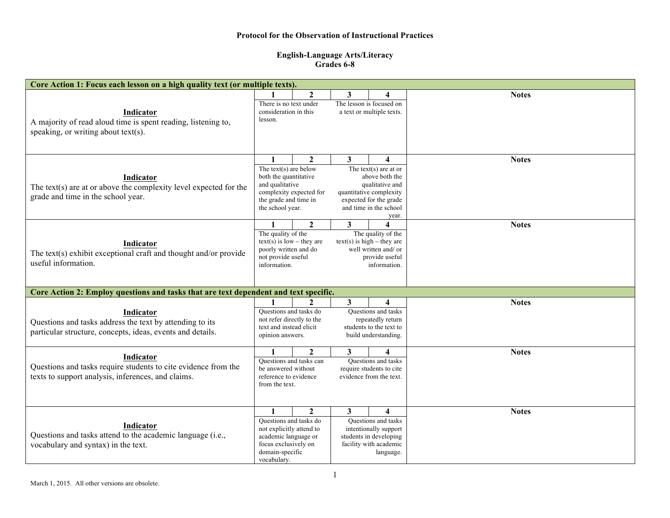## **Protocol for the Observation of Instructional Practices**

## **English-Language Arts/Literacy Grades 6-8**

| Core Action 1: Focus each lesson on a high quality text (or multiple texts).                                                        |                                                                                                                                                                                                                                                                              |                |                                                                                                                                                                               |                                                                                                                                          |              |  |  |  |  |
|-------------------------------------------------------------------------------------------------------------------------------------|------------------------------------------------------------------------------------------------------------------------------------------------------------------------------------------------------------------------------------------------------------------------------|----------------|-------------------------------------------------------------------------------------------------------------------------------------------------------------------------------|------------------------------------------------------------------------------------------------------------------------------------------|--------------|--|--|--|--|
| Indicator<br>A majority of read aloud time is spent reading, listening to,<br>speaking, or writing about text(s).                   | $\mathcal{L}$<br>3<br>$\boldsymbol{4}$<br>The lesson is focused on<br>There is no text under<br>consideration in this<br>a text or multiple texts.<br>lesson.                                                                                                                |                |                                                                                                                                                                               |                                                                                                                                          | <b>Notes</b> |  |  |  |  |
| Indicator<br>The text(s) are at or above the complexity level expected for the<br>grade and time in the school year.                | $\overline{2}$<br>3 <sup>1</sup><br>$\mathbf{1}$<br>The text(s) are below<br>both the quantitative<br>and qualitative<br>complexity expected for<br>the grade and time in<br>the school year.                                                                                |                | $\overline{\mathbf{4}}$<br>The text(s) are at or<br>above both the<br>qualitative and<br>quantitative complexity<br>expected for the grade<br>and time in the school<br>year. | <b>Notes</b>                                                                                                                             |              |  |  |  |  |
| Indicator<br>The text(s) exhibit exceptional craft and thought and/or provide<br>useful information.                                | $\overline{2}$<br>$\mathbf{3}$<br>4<br>1<br>The quality of the<br>The quality of the<br>$text(s)$ is low – they are<br>$text(s)$ is high – they are<br>poorly written and do<br>well written and/ or<br>not provide useful<br>provide useful<br>information.<br>information. |                |                                                                                                                                                                               | <b>Notes</b>                                                                                                                             |              |  |  |  |  |
| Core Action 2: Employ questions and tasks that are text dependent and text specific.                                                |                                                                                                                                                                                                                                                                              |                |                                                                                                                                                                               |                                                                                                                                          |              |  |  |  |  |
| Indicator<br>Questions and tasks address the text by attending to its<br>particular structure, concepts, ideas, events and details. | $\mathbf{2}$<br>Questions and tasks do<br>not refer directly to the<br>text and instead elicit<br>opinion answers.                                                                                                                                                           |                | 3<br>Questions and tasks<br>repeatedly return<br>students to the text to<br>build understanding.                                                                              |                                                                                                                                          | <b>Notes</b> |  |  |  |  |
| Indicator<br>Questions and tasks require students to cite evidence from the<br>texts to support analysis, inferences, and claims.   | $\mathbf{2}$<br>3<br>1<br>4<br>Questions and tasks can<br><b>Ouestions</b> and tasks<br>require students to cite<br>be answered without<br>evidence from the text.<br>reference to evidence<br>from the text.                                                                |                |                                                                                                                                                                               | <b>Notes</b>                                                                                                                             |              |  |  |  |  |
| Indicator<br>Questions and tasks attend to the academic language (i.e.,<br>vocabulary and syntax) in the text.                      | $\mathbf{1}$<br>Questions and tasks do<br>not explicitly attend to<br>academic language or<br>focus exclusively on<br>domain-specific<br>vocabulary.                                                                                                                         | $\overline{2}$ | 3                                                                                                                                                                             | $\overline{\mathbf{4}}$<br>Questions and tasks<br>intentionally support<br>students in developing<br>facility with academic<br>language. | <b>Notes</b> |  |  |  |  |